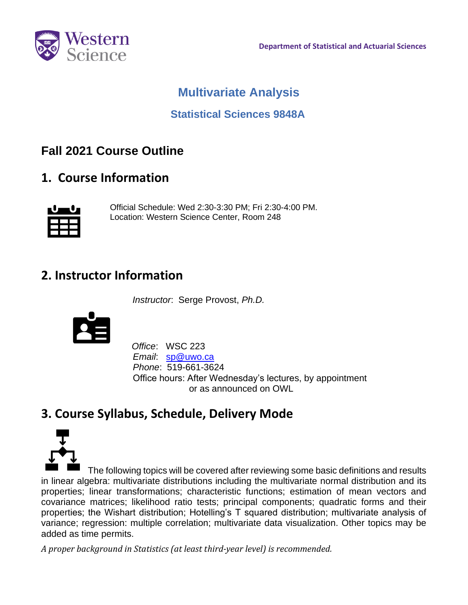

## **Multivariate Analysis**

### **Statistical Sciences 9848A**

# **Fall 2021 Course Outline**

**1. Course Information**



 Official Schedule: Wed 2:30-3:30 PM; Fri 2:30-4:00 PM. Location: Western Science Center, Room 248

### **2. Instructor Information**

*Instructor*: Serge Provost, *Ph.D.*



 *Office*: WSC 223  *Email*: [sp@uwo.ca](mailto:sp@uwo.ca)  *Phone*: 519-661-3624 Office hours: After Wednesday's lectures, by appointment or as announced on OWL

# **3. Course Syllabus, Schedule, Delivery Mode**



 The following topics will be covered after reviewing some basic definitions and results in linear algebra: multivariate distributions including the multivariate normal distribution and its properties; linear transformations; characteristic functions; estimation of mean vectors and covariance matrices; likelihood ratio tests; principal components; quadratic forms and their properties; the Wishart distribution; Hotelling's T squared distribution; multivariate analysis of variance; regression: multiple correlation; multivariate data visualization. Other topics may be added as time permits.

*A proper background in Statistics (at least third-year level) is recommended.*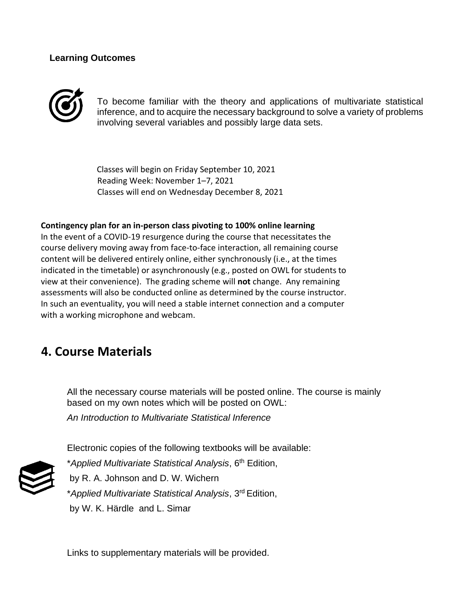#### **Learning Outcomes**



To become familiar with the theory and applications of multivariate statistical inference, and to acquire the necessary background to solve a variety of problems involving several variables and possibly large data sets.

 Classes will begin on Friday September 10, 2021 Reading Week: November 1–7, 2021 Classes will end on Wednesday December 8, 2021

#### **Contingency plan for an in-person class pivoting to 100% online learning**

 In the event of a COVID-19 resurgence during the course that necessitates the course delivery moving away from face-to-face interaction, all remaining course content will be delivered entirely online, either synchronously (i.e., at the times indicated in the timetable) or asynchronously (e.g., posted on OWL for students to view at their convenience). The grading scheme will **not** change. Any remaining assessments will also be conducted online as determined by the course instructor. In such an eventuality, you will need a stable internet connection and a computer with a working microphone and webcam.

### **4. Course Materials**

All the necessary course materials will be posted online. The course is mainly based on my own notes which will be posted on OWL:

*An Introduction to Multivariate Statistical Inference*

Electronic copies of the following textbooks will be available:



\**Applied Multivariate Statistical Analysis*, 6th Edition, by R. A. Johnson and D. W. Wichern \**Applied Multivariate Statistical Analysis*, 3rd Edition,

by W. K. Härdle and L. Sima[r](https://ocul-uwo.primo.exlibrisgroup.com/discovery/search?query=creator%2Cexact%2CH%C3%A4rdle%2C%20Wolfgang%20Karl%20%2CAND&tab=Everything&search_scope=MyInst_and_CI&vid=01OCUL_UWO%3AUWO_DEFAULT&facet=creator%2Cexact%2CH%C3%A4rdle%2C%20Wolfgang%20Karl%20&mode=advanced)

Links to supplementary materials will be provided.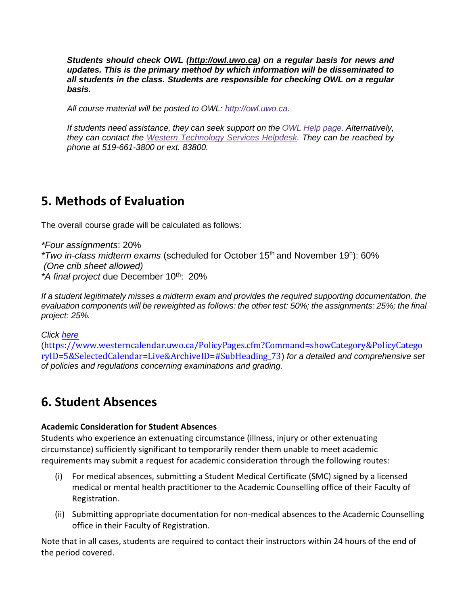*Students should check OWL [\(http://owl.uwo.ca\)](http://owl.uwo.ca/) on a regular basis for news and updates. This is the primary method by which information will be disseminated to all students in the class. Students are responsible for checking OWL on a regular basis.*

*All course material will be posted to OWL: http://owl.uwo.ca.* 

*If students need assistance, they can seek support on the [OWL Help page.](https://owlhelp.uwo.ca/students/index.html) Alternatively, they can contact the [Western Technology Services Helpdesk.](https://wts.uwo.ca/helpdesk/) They can be reached by phone at 519-661-3800 or ext. 83800.*

### **5. Methods of Evaluation**

The overall course grade will be calculated as follows:

*\*Four assignments*: 20% *\*Two in-class midterm exams* (scheduled for October 15<sup>th</sup> and November 19<sup>h</sup>): 60% *(One crib sheet allowed)* \*A final project due December 10<sup>th</sup>: 20%

*If a student legitimately misses a midterm exam and provides the required supporting documentation, the evaluation components will be reweighted as follows: the other test: 50%; the assignments: 25%; the final project: 25%.*

*Click [here](https://www.westerncalendar.uwo.ca/PolicyPages.cfm?Command=showCategory&PolicyCategoryID=5&SelectedCalendar=Live&ArchiveID=#SubHeading_73)*

([https://www.westerncalendar.uwo.ca/PolicyPages.cfm?Command=showCategory&PolicyCatego](https://www.westerncalendar.uwo.ca/PolicyPages.cfm?Command=showCategory&PolicyCategoryID=5&SelectedCalendar=Live&ArchiveID=#SubHeading_73) [ryID=5&SelectedCalendar=Live&ArchiveID=#SubHeading\\_73](https://www.westerncalendar.uwo.ca/PolicyPages.cfm?Command=showCategory&PolicyCategoryID=5&SelectedCalendar=Live&ArchiveID=#SubHeading_73)) *for a detailed and comprehensive set of policies and regulations concerning examinations and grading.* 

### **6. Student Absences**

#### **Academic Consideration for Student Absences**

Students who experience an extenuating circumstance (illness, injury or other extenuating circumstance) sufficiently significant to temporarily render them unable to meet academic requirements may submit a request for academic consideration through the following routes:

- (i) For medical absences, submitting a Student Medical Certificate (SMC) signed by a licensed medical or mental health practitioner to the Academic Counselling office of their Faculty of Registration.
- (ii) Submitting appropriate documentation for non-medical absences to the Academic Counselling office in their Faculty of Registration.

Note that in all cases, students are required to contact their instructors within 24 hours of the end of the period covered.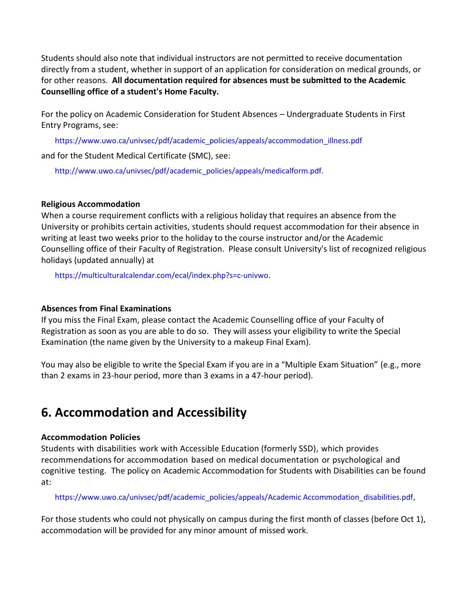Students should also note that individual instructors are not permitted to receive documentation directly from a student, whether in support of an application for consideration on medical grounds, or for other reasons. **All documentation required for absences must be submitted to the Academic Counselling office of a student's Home Faculty.**

For the policy on Academic Consideration for Student Absences – Undergraduate Students in First Entry Programs, see:

https://www.uwo.ca/univsec/pdf/academic\_policies/appeals/accommodation\_illness.pdf

and for the Student Medical Certificate (SMC), see:

http://www.uwo.ca/univsec/pdf/academic\_policies/appeals/medicalform.pdf.

#### **Religious Accommodation**

When a course requirement conflicts with a religious holiday that requires an absence from the University or prohibits certain activities, students should request accommodation for their absence in writing at least two weeks prior to the holiday to the course instructor and/or the Academic Counselling office of their Faculty of Registration. Please consult University's list of recognized religious holidays (updated annually) at

https://multiculturalcalendar.com/ecal/index.php?s=c-univwo.

#### **Absences from Final Examinations**

If you miss the Final Exam, please contact the Academic Counselling office of your Faculty of Registration as soon as you are able to do so. They will assess your eligibility to write the Special Examination (the name given by the University to a makeup Final Exam).

You may also be eligible to write the Special Exam if you are in a "Multiple Exam Situation" (e.g., more than 2 exams in 23-hour period, more than 3 exams in a 47-hour period).

# **6. Accommodation and Accessibility**

#### **Accommodation Policies**

Students with disabilities work with Accessible Education (formerly SSD), which provides recommendations for accommodation based on medical documentation or psychological and cognitive testing. The policy on Academic Accommodation for Students with Disabilities can be found at:

https://www.uwo.ca/univsec/pdf/academic\_policies/appeals/Academic Accommodation\_disabilities.pdf,

For those students who could not physically on campus during the first month of classes (before Oct 1), accommodation will be provided for any minor amount of missed work.